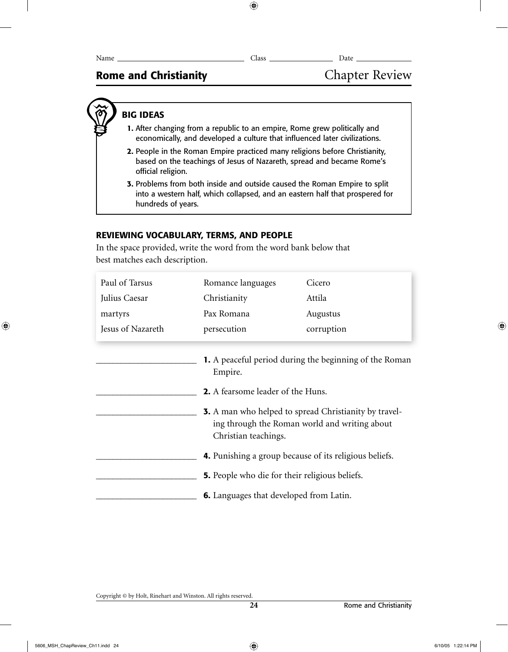# Rome and Christianity **Chapter Review**

# BIG IDEAS

- 1. After changing from a republic to an empire, Rome grew politically and economically, and developed a culture that influenced later civilizations.
- 2. People in the Roman Empire practiced many religions before Christianity, based on the teachings of Jesus of Nazareth, spread and became Rome's official religion.
- 3. Problems from both inside and outside caused the Roman Empire to split into a western half, which collapsed, and an eastern half that prospered for hundreds of years.

# REVIEWING VOCABULARY, TERMS, AND PEOPLE

In the space provided, write the word from the word bank below that best matches each description.

| Paul of Tarsus    | Romance languages                                                                                                                                                                    | Cicero     |  |
|-------------------|--------------------------------------------------------------------------------------------------------------------------------------------------------------------------------------|------------|--|
| Julius Caesar     | Christianity                                                                                                                                                                         | Attila     |  |
| martyrs           | Pax Romana                                                                                                                                                                           | Augustus   |  |
| Jesus of Nazareth | persecution                                                                                                                                                                          | corruption |  |
|                   | <b>1.</b> A peaceful period during the beginning of the Roman<br>Empire.<br><b>2.</b> A fearsome leader of the Huns.<br><b>3.</b> A man who helped to spread Christianity by travel- |            |  |
|                   | ing through the Roman world and writing about<br>Christian teachings.                                                                                                                |            |  |
|                   | <b>4.</b> Punishing a group because of its religious beliefs.                                                                                                                        |            |  |
|                   | <b>5.</b> People who die for their religious beliefs.                                                                                                                                |            |  |
|                   | <b>6.</b> Languages that developed from Latin.                                                                                                                                       |            |  |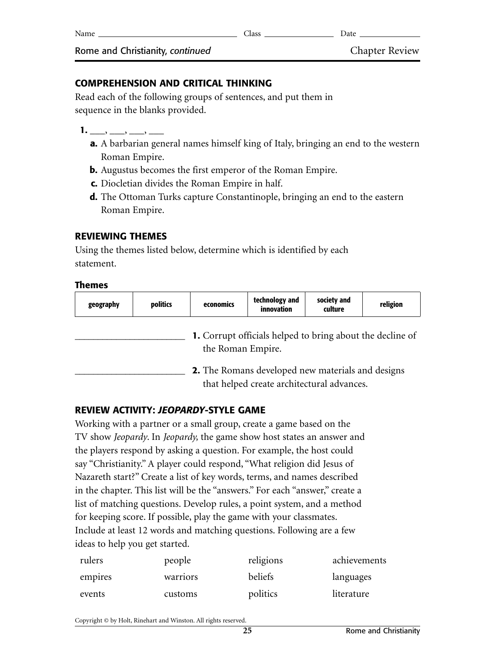| Name                             | Class | Date                  |
|----------------------------------|-------|-----------------------|
| Rome and Christianity, continued |       | <b>Chapter Review</b> |

### **COMPREHENSION AND CRITICAL THINKING**

Read each of the following groups of sentences, and put them in sequence in the blanks provided.

- $1.$   $\longrightarrow$   $\longrightarrow$   $\longrightarrow$   $\longrightarrow$ 
	- **a.** A barbarian general names himself king of Italy, bringing an end to the western Roman Empire.
	- **b.** Augustus becomes the first emperor of the Roman Empire.
	- **c.** Diocletian divides the Roman Empire in half.
	- **d.** The Ottoman Turks capture Constantinople, bringing an end to the eastern Roman Empire.

### **REVIEWING THEMES**

Using the themes listed below, determine which is identified by each statement.

#### **Themes**

| geography                                                                                              | politics | economics | technology and<br>innovation | society and<br>culture | religion |
|--------------------------------------------------------------------------------------------------------|----------|-----------|------------------------------|------------------------|----------|
| <b>1.</b> Corrupt officials helped to bring about the decline of<br>the Roman Empire.                  |          |           |                              |                        |          |
| <b>2.</b> The Romans developed new materials and designs<br>that helped create architectural advances. |          |           |                              |                        |          |

### **REVIEW ACTIVITY:** *JEOPARDY***-STYLE GAME**

Working with a partner or a small group, create a game based on the TV show *Jeopardy*. In *Jeopardy,* the game show host states an answer and the players respond by asking a question. For example, the host could say "Christianity." A player could respond, "What religion did Jesus of Nazareth start?" Create a list of key words, terms, and names described in the chapter. This list will be the "answers." For each "answer," create a list of matching questions. Develop rules, a point system, and a method for keeping score. If possible, play the game with your classmates. Include at least 12 words and matching questions. Following are a few ideas to help you get started.

| rulers  | people   | religions | achievements |
|---------|----------|-----------|--------------|
| empires | warriors | beliefs   | languages    |
| events  | customs  | politics  | literature   |

Copyright © by Holt, Rinehart and Winston. All rights reserved.